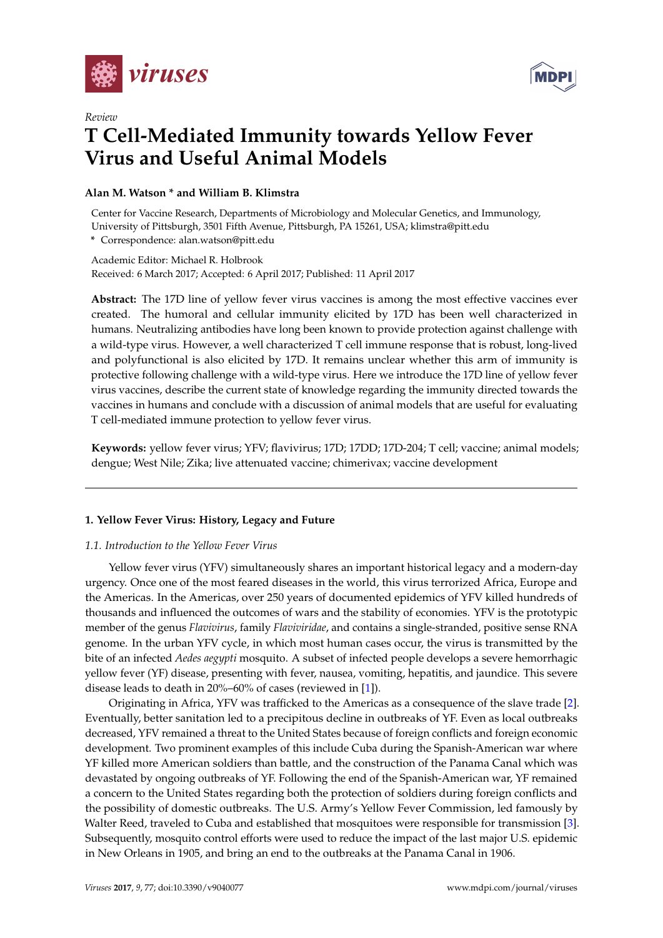

*Review*



# **T Cell-Mediated Immunity towards Yellow Fever Virus and Useful Animal Models**

# **Alan M. Watson \* and William B. Klimstra**

Center for Vaccine Research, Departments of Microbiology and Molecular Genetics, and Immunology, University of Pittsburgh, 3501 Fifth Avenue, Pittsburgh, PA 15261, USA; klimstra@pitt.edu

**\*** Correspondence: alan.watson@pitt.edu

Academic Editor: Michael R. Holbrook Received: 6 March 2017; Accepted: 6 April 2017; Published: 11 April 2017

**Abstract:** The 17D line of yellow fever virus vaccines is among the most effective vaccines ever created. The humoral and cellular immunity elicited by 17D has been well characterized in humans. Neutralizing antibodies have long been known to provide protection against challenge with a wild-type virus. However, a well characterized T cell immune response that is robust, long-lived and polyfunctional is also elicited by 17D. It remains unclear whether this arm of immunity is protective following challenge with a wild-type virus. Here we introduce the 17D line of yellow fever virus vaccines, describe the current state of knowledge regarding the immunity directed towards the vaccines in humans and conclude with a discussion of animal models that are useful for evaluating T cell-mediated immune protection to yellow fever virus.

**Keywords:** yellow fever virus; YFV; flavivirus; 17D; 17DD; 17D-204; T cell; vaccine; animal models; dengue; West Nile; Zika; live attenuated vaccine; chimerivax; vaccine development

# **1. Yellow Fever Virus: History, Legacy and Future**

# *1.1. Introduction to the Yellow Fever Virus*

Yellow fever virus (YFV) simultaneously shares an important historical legacy and a modern-day urgency. Once one of the most feared diseases in the world, this virus terrorized Africa, Europe and the Americas. In the Americas, over 250 years of documented epidemics of YFV killed hundreds of thousands and influenced the outcomes of wars and the stability of economies. YFV is the prototypic member of the genus *Flavivirus*, family *Flaviviridae*, and contains a single-stranded, positive sense RNA genome. In the urban YFV cycle, in which most human cases occur, the virus is transmitted by the bite of an infected *Aedes aegypti* mosquito. A subset of infected people develops a severe hemorrhagic yellow fever (YF) disease, presenting with fever, nausea, vomiting, hepatitis, and jaundice. This severe disease leads to death in 20%–60% of cases (reviewed in [\[1\]](#page-9-0)).

Originating in Africa, YFV was trafficked to the Americas as a consequence of the slave trade [\[2\]](#page-9-1). Eventually, better sanitation led to a precipitous decline in outbreaks of YF. Even as local outbreaks decreased, YFV remained a threat to the United States because of foreign conflicts and foreign economic development. Two prominent examples of this include Cuba during the Spanish-American war where YF killed more American soldiers than battle, and the construction of the Panama Canal which was devastated by ongoing outbreaks of YF. Following the end of the Spanish-American war, YF remained a concern to the United States regarding both the protection of soldiers during foreign conflicts and the possibility of domestic outbreaks. The U.S. Army's Yellow Fever Commission, led famously by Walter Reed, traveled to Cuba and established that mosquitoes were responsible for transmission [\[3\]](#page-9-2). Subsequently, mosquito control efforts were used to reduce the impact of the last major U.S. epidemic in New Orleans in 1905, and bring an end to the outbreaks at the Panama Canal in 1906.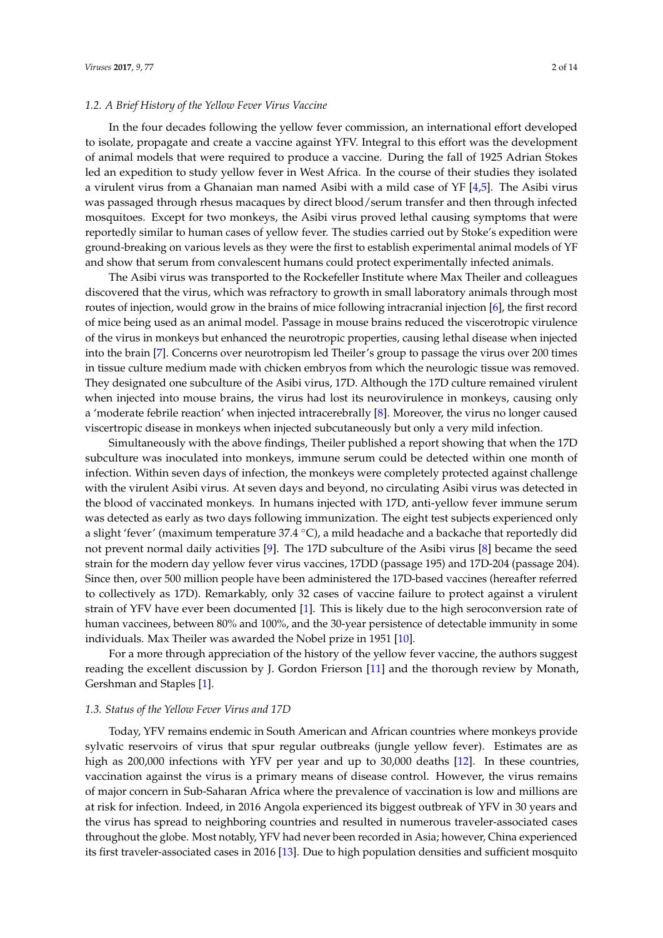#### *1.2. A Brief History of the Yellow Fever Virus Vaccine*

In the four decades following the yellow fever commission, an international effort developed to isolate, propagate and create a vaccine against YFV. Integral to this effort was the development of animal models that were required to produce a vaccine. During the fall of 1925 Adrian Stokes led an expedition to study yellow fever in West Africa. In the course of their studies they isolated a virulent virus from a Ghanaian man named Asibi with a mild case of YF [\[4,](#page-9-3)[5\]](#page-9-4). The Asibi virus was passaged through rhesus macaques by direct blood/serum transfer and then through infected mosquitoes. Except for two monkeys, the Asibi virus proved lethal causing symptoms that were reportedly similar to human cases of yellow fever. The studies carried out by Stoke's expedition were ground-breaking on various levels as they were the first to establish experimental animal models of YF and show that serum from convalescent humans could protect experimentally infected animals.

The Asibi virus was transported to the Rockefeller Institute where Max Theiler and colleagues discovered that the virus, which was refractory to growth in small laboratory animals through most routes of injection, would grow in the brains of mice following intracranial injection [\[6\]](#page-9-5), the first record of mice being used as an animal model. Passage in mouse brains reduced the viscerotropic virulence of the virus in monkeys but enhanced the neurotropic properties, causing lethal disease when injected into the brain [\[7\]](#page-9-6). Concerns over neurotropism led Theiler's group to passage the virus over 200 times in tissue culture medium made with chicken embryos from which the neurologic tissue was removed. They designated one subculture of the Asibi virus, 17D. Although the 17D culture remained virulent when injected into mouse brains, the virus had lost its neurovirulence in monkeys, causing only a 'moderate febrile reaction' when injected intracerebrally [\[8\]](#page-9-7). Moreover, the virus no longer caused viscertropic disease in monkeys when injected subcutaneously but only a very mild infection.

Simultaneously with the above findings, Theiler published a report showing that when the 17D subculture was inoculated into monkeys, immune serum could be detected within one month of infection. Within seven days of infection, the monkeys were completely protected against challenge with the virulent Asibi virus. At seven days and beyond, no circulating Asibi virus was detected in the blood of vaccinated monkeys. In humans injected with 17D, anti-yellow fever immune serum was detected as early as two days following immunization. The eight test subjects experienced only a slight 'fever' (maximum temperature 37.4 ◦C), a mild headache and a backache that reportedly did not prevent normal daily activities [\[9\]](#page-9-8). The 17D subculture of the Asibi virus [\[8\]](#page-9-7) became the seed strain for the modern day yellow fever virus vaccines, 17DD (passage 195) and 17D-204 (passage 204). Since then, over 500 million people have been administered the 17D-based vaccines (hereafter referred to collectively as 17D). Remarkably, only 32 cases of vaccine failure to protect against a virulent strain of YFV have ever been documented [\[1\]](#page-9-0). This is likely due to the high seroconversion rate of human vaccinees, between 80% and 100%, and the 30-year persistence of detectable immunity in some individuals. Max Theiler was awarded the Nobel prize in 1951 [\[10\]](#page-9-9).

For a more through appreciation of the history of the yellow fever vaccine, the authors suggest reading the excellent discussion by J. Gordon Frierson [\[11\]](#page-9-10) and the thorough review by Monath, Gershman and Staples [\[1\]](#page-9-0).

## *1.3. Status of the Yellow Fever Virus and 17D*

Today, YFV remains endemic in South American and African countries where monkeys provide sylvatic reservoirs of virus that spur regular outbreaks (jungle yellow fever). Estimates are as high as 200,000 infections with YFV per year and up to 30,000 deaths [\[12\]](#page-9-11). In these countries, vaccination against the virus is a primary means of disease control. However, the virus remains of major concern in Sub-Saharan Africa where the prevalence of vaccination is low and millions are at risk for infection. Indeed, in 2016 Angola experienced its biggest outbreak of YFV in 30 years and the virus has spread to neighboring countries and resulted in numerous traveler-associated cases throughout the globe. Most notably, YFV had never been recorded in Asia; however, China experienced its first traveler-associated cases in 2016 [\[13\]](#page-9-12). Due to high population densities and sufficient mosquito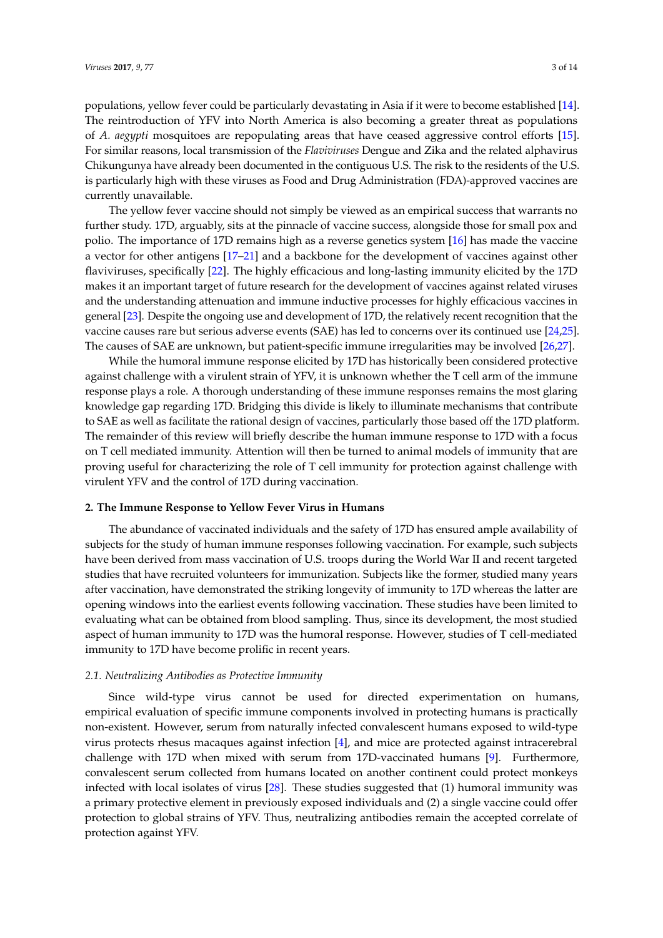populations, yellow fever could be particularly devastating in Asia if it were to become established [\[14\]](#page-9-13). The reintroduction of YFV into North America is also becoming a greater threat as populations of *A. aegypti* mosquitoes are repopulating areas that have ceased aggressive control efforts [\[15\]](#page-9-14). For similar reasons, local transmission of the *Flaviviruses* Dengue and Zika and the related alphavirus Chikungunya have already been documented in the contiguous U.S. The risk to the residents of the U.S. is particularly high with these viruses as Food and Drug Administration (FDA)-approved vaccines are currently unavailable.

The yellow fever vaccine should not simply be viewed as an empirical success that warrants no further study. 17D, arguably, sits at the pinnacle of vaccine success, alongside those for small pox and polio. The importance of 17D remains high as a reverse genetics system [\[16\]](#page-9-15) has made the vaccine a vector for other antigens [\[17–](#page-9-16)[21\]](#page-9-17) and a backbone for the development of vaccines against other flaviviruses, specifically [\[22\]](#page-10-0). The highly efficacious and long-lasting immunity elicited by the 17D makes it an important target of future research for the development of vaccines against related viruses and the understanding attenuation and immune inductive processes for highly efficacious vaccines in general [\[23\]](#page-10-1). Despite the ongoing use and development of 17D, the relatively recent recognition that the vaccine causes rare but serious adverse events (SAE) has led to concerns over its continued use [\[24](#page-10-2)[,25\]](#page-10-3). The causes of SAE are unknown, but patient-specific immune irregularities may be involved [\[26,](#page-10-4)[27\]](#page-10-5).

While the humoral immune response elicited by 17D has historically been considered protective against challenge with a virulent strain of YFV, it is unknown whether the T cell arm of the immune response plays a role. A thorough understanding of these immune responses remains the most glaring knowledge gap regarding 17D. Bridging this divide is likely to illuminate mechanisms that contribute to SAE as well as facilitate the rational design of vaccines, particularly those based off the 17D platform. The remainder of this review will briefly describe the human immune response to 17D with a focus on T cell mediated immunity. Attention will then be turned to animal models of immunity that are proving useful for characterizing the role of T cell immunity for protection against challenge with virulent YFV and the control of 17D during vaccination.

# **2. The Immune Response to Yellow Fever Virus in Humans**

The abundance of vaccinated individuals and the safety of 17D has ensured ample availability of subjects for the study of human immune responses following vaccination. For example, such subjects have been derived from mass vaccination of U.S. troops during the World War II and recent targeted studies that have recruited volunteers for immunization. Subjects like the former, studied many years after vaccination, have demonstrated the striking longevity of immunity to 17D whereas the latter are opening windows into the earliest events following vaccination. These studies have been limited to evaluating what can be obtained from blood sampling. Thus, since its development, the most studied aspect of human immunity to 17D was the humoral response. However, studies of T cell-mediated immunity to 17D have become prolific in recent years.

# *2.1. Neutralizing Antibodies as Protective Immunity*

Since wild-type virus cannot be used for directed experimentation on humans, empirical evaluation of specific immune components involved in protecting humans is practically non-existent. However, serum from naturally infected convalescent humans exposed to wild-type virus protects rhesus macaques against infection [\[4\]](#page-9-3), and mice are protected against intracerebral challenge with 17D when mixed with serum from 17D-vaccinated humans [\[9\]](#page-9-8). Furthermore, convalescent serum collected from humans located on another continent could protect monkeys infected with local isolates of virus [\[28\]](#page-10-6). These studies suggested that (1) humoral immunity was a primary protective element in previously exposed individuals and (2) a single vaccine could offer protection to global strains of YFV. Thus, neutralizing antibodies remain the accepted correlate of protection against YFV.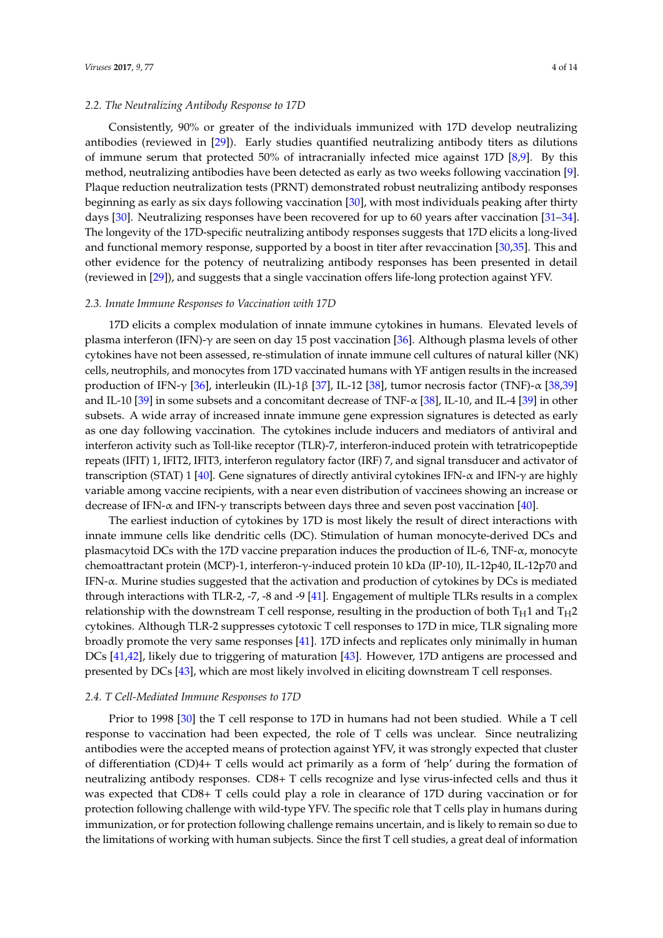#### *2.2. The Neutralizing Antibody Response to 17D*

Consistently, 90% or greater of the individuals immunized with 17D develop neutralizing antibodies (reviewed in [\[29\]](#page-10-7)). Early studies quantified neutralizing antibody titers as dilutions of immune serum that protected 50% of intracranially infected mice against 17D [\[8](#page-9-7)[,9\]](#page-9-8). By this method, neutralizing antibodies have been detected as early as two weeks following vaccination [\[9\]](#page-9-8). Plaque reduction neutralization tests (PRNT) demonstrated robust neutralizing antibody responses beginning as early as six days following vaccination [\[30\]](#page-10-8), with most individuals peaking after thirty days [\[30\]](#page-10-8). Neutralizing responses have been recovered for up to 60 years after vaccination [\[31–](#page-10-9)[34\]](#page-10-10). The longevity of the 17D-specific neutralizing antibody responses suggests that 17D elicits a long-lived and functional memory response, supported by a boost in titer after revaccination [\[30,](#page-10-8)[35\]](#page-10-11). This and other evidence for the potency of neutralizing antibody responses has been presented in detail (reviewed in [\[29\]](#page-10-7)), and suggests that a single vaccination offers life-long protection against YFV.

## *2.3. Innate Immune Responses to Vaccination with 17D*

17D elicits a complex modulation of innate immune cytokines in humans. Elevated levels of plasma interferon (IFN)-γ are seen on day 15 post vaccination [\[36\]](#page-10-12). Although plasma levels of other cytokines have not been assessed, re-stimulation of innate immune cell cultures of natural killer (NK) cells, neutrophils, and monocytes from 17D vaccinated humans with YF antigen results in the increased production of IFN-γ [\[36\]](#page-10-12), interleukin (IL)-1β [\[37\]](#page-10-13), IL-12 [\[38\]](#page-10-14), tumor necrosis factor (TNF)-α [\[38](#page-10-14)[,39\]](#page-11-0) and IL-10 [\[39\]](#page-11-0) in some subsets and a concomitant decrease of TNF-α [\[38\]](#page-10-14), IL-10, and IL-4 [\[39\]](#page-11-0) in other subsets. A wide array of increased innate immune gene expression signatures is detected as early as one day following vaccination. The cytokines include inducers and mediators of antiviral and interferon activity such as Toll-like receptor (TLR)-7, interferon-induced protein with tetratricopeptide repeats (IFIT) 1, IFIT2, IFIT3, interferon regulatory factor (IRF) 7, and signal transducer and activator of transcription (STAT) 1 [\[40\]](#page-11-1). Gene signatures of directly antiviral cytokines IFN-α and IFN- $γ$  are highly variable among vaccine recipients, with a near even distribution of vaccinees showing an increase or decrease of IFN- $\alpha$  and IFN- $\gamma$  transcripts between days three and seven post vaccination [\[40\]](#page-11-1).

The earliest induction of cytokines by 17D is most likely the result of direct interactions with innate immune cells like dendritic cells (DC). Stimulation of human monocyte-derived DCs and plasmacytoid DCs with the 17D vaccine preparation induces the production of IL-6, TNF- $\alpha$ , monocyte chemoattractant protein (MCP)-1, interferon-γ-induced protein 10 kDa (IP-10), IL-12p40, IL-12p70 and IFN- $\alpha$ . Murine studies suggested that the activation and production of cytokines by DCs is mediated through interactions with TLR-2, -7, -8 and -9 [\[41\]](#page-11-2). Engagement of multiple TLRs results in a complex relationship with the downstream T cell response, resulting in the production of both  $T_H1$  and  $T_H2$ cytokines. Although TLR-2 suppresses cytotoxic T cell responses to 17D in mice, TLR signaling more broadly promote the very same responses [\[41\]](#page-11-2). 17D infects and replicates only minimally in human DCs [\[41,](#page-11-2)[42\]](#page-11-3), likely due to triggering of maturation [\[43\]](#page-11-4). However, 17D antigens are processed and presented by DCs [\[43\]](#page-11-4), which are most likely involved in eliciting downstream T cell responses.

#### *2.4. T Cell-Mediated Immune Responses to 17D*

Prior to 1998 [\[30\]](#page-10-8) the T cell response to 17D in humans had not been studied. While a T cell response to vaccination had been expected, the role of T cells was unclear. Since neutralizing antibodies were the accepted means of protection against YFV, it was strongly expected that cluster of differentiation (CD)4+ T cells would act primarily as a form of 'help' during the formation of neutralizing antibody responses. CD8+ T cells recognize and lyse virus-infected cells and thus it was expected that CD8+ T cells could play a role in clearance of 17D during vaccination or for protection following challenge with wild-type YFV. The specific role that T cells play in humans during immunization, or for protection following challenge remains uncertain, and is likely to remain so due to the limitations of working with human subjects. Since the first T cell studies, a great deal of information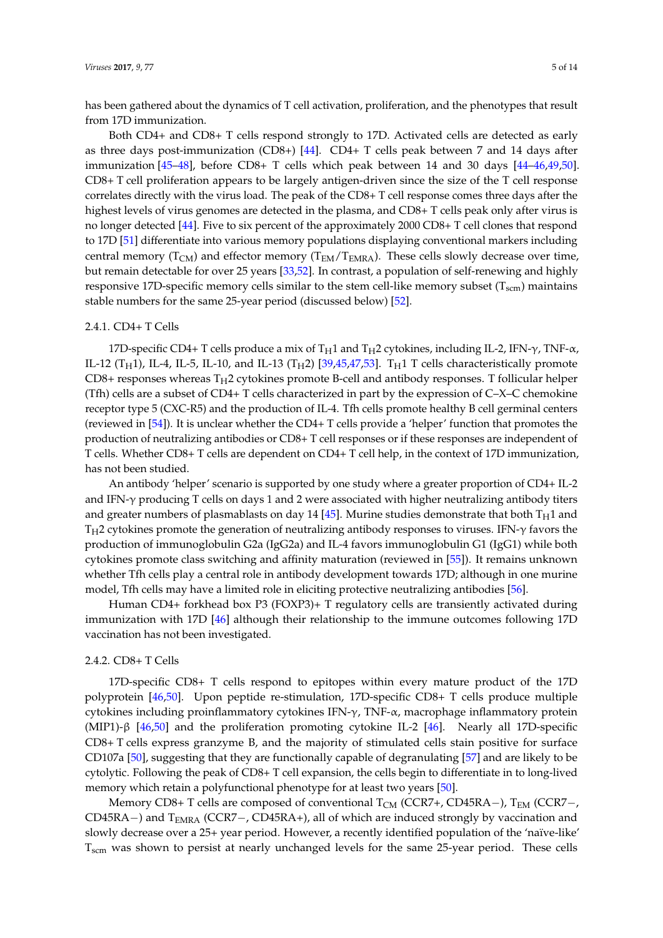has been gathered about the dynamics of T cell activation, proliferation, and the phenotypes that result from 17D immunization.

Both CD4+ and CD8+ T cells respond strongly to 17D. Activated cells are detected as early as three days post-immunization (CD8+) [\[44\]](#page-11-5). CD4+ T cells peak between 7 and 14 days after immunization [\[45–](#page-11-6)[48\]](#page-11-7), before CD8+ T cells which peak between 14 and 30 days [\[44–](#page-11-5)[46,](#page-11-8)[49,](#page-11-9)[50\]](#page-11-10). CD8+ T cell proliferation appears to be largely antigen-driven since the size of the T cell response correlates directly with the virus load. The peak of the CD8+ T cell response comes three days after the highest levels of virus genomes are detected in the plasma, and CD8+ T cells peak only after virus is no longer detected [\[44\]](#page-11-5). Five to six percent of the approximately 2000 CD8+ T cell clones that respond to 17D [\[51\]](#page-11-11) differentiate into various memory populations displaying conventional markers including central memory ( $T_{CM}$ ) and effector memory ( $T_{EM}/T_{EMRA}$ ). These cells slowly decrease over time, but remain detectable for over 25 years [\[33](#page-10-15)[,52\]](#page-11-12). In contrast, a population of self-renewing and highly responsive 17D-specific memory cells similar to the stem cell-like memory subset  $(T<sub>sem</sub>)$  maintains stable numbers for the same 25-year period (discussed below) [\[52\]](#page-11-12).

#### 2.4.1. CD4+ T Cells

17D-specific CD4+ T cells produce a mix of T<sub>H</sub>1 and T<sub>H</sub>2 cytokines, including IL-2, IFN- $\gamma$ , TNF- $\alpha$ , IL-12 (T<sub>H</sub>1), IL-4, IL-5, IL-10, and IL-13 (T<sub>H</sub>2) [\[39,](#page-11-0)[45,](#page-11-6)[47,](#page-11-13)[53\]](#page-11-14). T<sub>H</sub>1 T cells characteristically promote  $CD8+$  responses whereas  $T_H2$  cytokines promote B-cell and antibody responses. T follicular helper (Tfh) cells are a subset of CD4+ T cells characterized in part by the expression of C–X–C chemokine receptor type 5 (CXC-R5) and the production of IL-4. Tfh cells promote healthy B cell germinal centers (reviewed in [\[54\]](#page-11-15)). It is unclear whether the CD4+ T cells provide a 'helper' function that promotes the production of neutralizing antibodies or CD8+ T cell responses or if these responses are independent of T cells. Whether CD8+ T cells are dependent on CD4+ T cell help, in the context of 17D immunization, has not been studied.

An antibody 'helper' scenario is supported by one study where a greater proportion of CD4+ IL-2 and IFN- $\gamma$  producing T cells on days 1 and 2 were associated with higher neutralizing antibody titers and greater numbers of plasmablasts on day 14 [\[45\]](#page-11-6). Murine studies demonstrate that both  $T_H1$  and  $T_H2$  cytokines promote the generation of neutralizing antibody responses to viruses. IFN- $\gamma$  favors the production of immunoglobulin G2a (IgG2a) and IL-4 favors immunoglobulin G1 (IgG1) while both cytokines promote class switching and affinity maturation (reviewed in [\[55\]](#page-11-16)). It remains unknown whether Tfh cells play a central role in antibody development towards 17D; although in one murine model, Tfh cells may have a limited role in eliciting protective neutralizing antibodies [\[56\]](#page-12-0).

Human CD4+ forkhead box P3 (FOXP3)+ T regulatory cells are transiently activated during immunization with 17D [\[46\]](#page-11-8) although their relationship to the immune outcomes following 17D vaccination has not been investigated.

## 2.4.2. CD8+ T Cells

17D-specific CD8+ T cells respond to epitopes within every mature product of the 17D polyprotein [\[46](#page-11-8)[,50\]](#page-11-10). Upon peptide re-stimulation, 17D-specific CD8+ T cells produce multiple cytokines including proinflammatory cytokines IFN-γ, TNF-α, macrophage inflammatory protein (MIP1)-β [\[46](#page-11-8)[,50\]](#page-11-10) and the proliferation promoting cytokine IL-2 [\[46\]](#page-11-8). Nearly all 17D-specific CD8+ T cells express granzyme B, and the majority of stimulated cells stain positive for surface CD107a [\[50\]](#page-11-10), suggesting that they are functionally capable of degranulating [\[57\]](#page-12-1) and are likely to be cytolytic. Following the peak of CD8+ T cell expansion, the cells begin to differentiate in to long-lived memory which retain a polyfunctional phenotype for at least two years [\[50\]](#page-11-10).

Memory CD8+ T cells are composed of conventional  $T_{CM}$  (CCR7+, CD45RA−),  $T_{EM}$  (CCR7−, CD45RA−) and TEMRA (CCR7−, CD45RA+), all of which are induced strongly by vaccination and slowly decrease over a 25+ year period. However, a recently identified population of the 'naïve-like' Tscm was shown to persist at nearly unchanged levels for the same 25-year period. These cells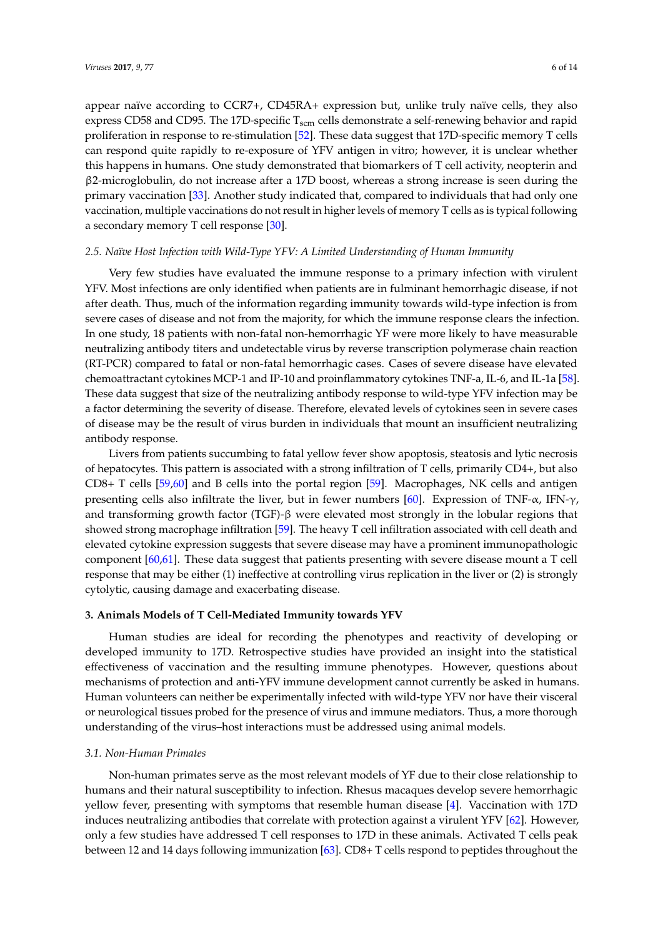appear naïve according to CCR7+, CD45RA+ expression but, unlike truly naïve cells, they also express CD58 and CD95. The 17D-specific  $T_{\text{scm}}$  cells demonstrate a self-renewing behavior and rapid proliferation in response to re-stimulation [\[52\]](#page-11-12). These data suggest that 17D-specific memory T cells can respond quite rapidly to re-exposure of YFV antigen in vitro; however, it is unclear whether this happens in humans. One study demonstrated that biomarkers of T cell activity, neopterin and β2-microglobulin, do not increase after a 17D boost, whereas a strong increase is seen during the primary vaccination [\[33\]](#page-10-15). Another study indicated that, compared to individuals that had only one vaccination, multiple vaccinations do not result in higher levels of memory T cells as is typical following a secondary memory T cell response [\[30\]](#page-10-8).

#### *2.5. Naïve Host Infection with Wild-Type YFV: A Limited Understanding of Human Immunity*

Very few studies have evaluated the immune response to a primary infection with virulent YFV. Most infections are only identified when patients are in fulminant hemorrhagic disease, if not after death. Thus, much of the information regarding immunity towards wild-type infection is from severe cases of disease and not from the majority, for which the immune response clears the infection. In one study, 18 patients with non-fatal non-hemorrhagic YF were more likely to have measurable neutralizing antibody titers and undetectable virus by reverse transcription polymerase chain reaction (RT-PCR) compared to fatal or non-fatal hemorrhagic cases. Cases of severe disease have elevated chemoattractant cytokines MCP-1 and IP-10 and proinflammatory cytokines TNF-a, IL-6, and IL-1a [\[58\]](#page-12-2). These data suggest that size of the neutralizing antibody response to wild-type YFV infection may be a factor determining the severity of disease. Therefore, elevated levels of cytokines seen in severe cases of disease may be the result of virus burden in individuals that mount an insufficient neutralizing antibody response.

Livers from patients succumbing to fatal yellow fever show apoptosis, steatosis and lytic necrosis of hepatocytes. This pattern is associated with a strong infiltration of T cells, primarily CD4+, but also CD8+ T cells [\[59,](#page-12-3)[60\]](#page-12-4) and B cells into the portal region [\[59\]](#page-12-3). Macrophages, NK cells and antigen presenting cells also infiltrate the liver, but in fewer numbers [\[60\]](#page-12-4). Expression of TNF- $\alpha$ , IFN- $\gamma$ , and transforming growth factor (TGF)-β were elevated most strongly in the lobular regions that showed strong macrophage infiltration [\[59\]](#page-12-3). The heavy T cell infiltration associated with cell death and elevated cytokine expression suggests that severe disease may have a prominent immunopathologic component [\[60](#page-12-4)[,61\]](#page-12-5). These data suggest that patients presenting with severe disease mount a T cell response that may be either (1) ineffective at controlling virus replication in the liver or (2) is strongly cytolytic, causing damage and exacerbating disease.

## **3. Animals Models of T Cell-Mediated Immunity towards YFV**

Human studies are ideal for recording the phenotypes and reactivity of developing or developed immunity to 17D. Retrospective studies have provided an insight into the statistical effectiveness of vaccination and the resulting immune phenotypes. However, questions about mechanisms of protection and anti-YFV immune development cannot currently be asked in humans. Human volunteers can neither be experimentally infected with wild-type YFV nor have their visceral or neurological tissues probed for the presence of virus and immune mediators. Thus, a more thorough understanding of the virus–host interactions must be addressed using animal models.

#### *3.1. Non-Human Primates*

Non-human primates serve as the most relevant models of YF due to their close relationship to humans and their natural susceptibility to infection. Rhesus macaques develop severe hemorrhagic yellow fever, presenting with symptoms that resemble human disease [\[4\]](#page-9-3). Vaccination with 17D induces neutralizing antibodies that correlate with protection against a virulent YFV [\[62\]](#page-12-6). However, only a few studies have addressed T cell responses to 17D in these animals. Activated T cells peak between 12 and 14 days following immunization [\[63\]](#page-12-7). CD8+ T cells respond to peptides throughout the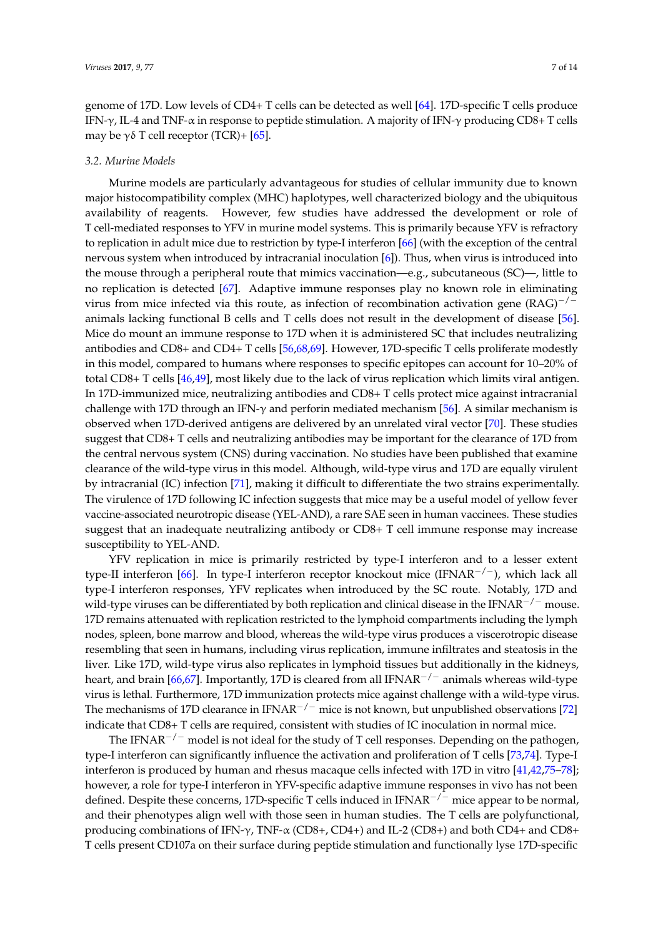genome of 17D. Low levels of CD4+ T cells can be detected as well [\[64\]](#page-12-8). 17D-specific T cells produce IFN- $\gamma$ , IL-4 and TNF- $\alpha$  in response to peptide stimulation. A majority of IFN- $\gamma$  producing CD8+ T cells may be  $\gamma \delta$  T cell receptor (TCR)+ [\[65\]](#page-12-9).

#### *3.2. Murine Models*

Murine models are particularly advantageous for studies of cellular immunity due to known major histocompatibility complex (MHC) haplotypes, well characterized biology and the ubiquitous availability of reagents. However, few studies have addressed the development or role of T cell-mediated responses to YFV in murine model systems. This is primarily because YFV is refractory to replication in adult mice due to restriction by type-I interferon [\[66\]](#page-12-10) (with the exception of the central nervous system when introduced by intracranial inoculation [\[6\]](#page-9-5)). Thus, when virus is introduced into the mouse through a peripheral route that mimics vaccination—e.g., subcutaneous (SC)—, little to no replication is detected [\[67\]](#page-12-11). Adaptive immune responses play no known role in eliminating virus from mice infected via this route, as infection of recombination activation gene (RAG)−/<sup>−</sup> animals lacking functional B cells and T cells does not result in the development of disease [\[56\]](#page-12-0). Mice do mount an immune response to 17D when it is administered SC that includes neutralizing antibodies and CD8+ and CD4+ T cells [\[56](#page-12-0)[,68](#page-12-12)[,69\]](#page-12-13). However, 17D-specific T cells proliferate modestly in this model, compared to humans where responses to specific epitopes can account for 10–20% of total CD8+ T cells [\[46,](#page-11-8)[49\]](#page-11-9), most likely due to the lack of virus replication which limits viral antigen. In 17D-immunized mice, neutralizing antibodies and CD8+ T cells protect mice against intracranial challenge with 17D through an IFN-γ and perforin mediated mechanism [\[56\]](#page-12-0). A similar mechanism is observed when 17D-derived antigens are delivered by an unrelated viral vector [\[70\]](#page-12-14). These studies suggest that CD8+ T cells and neutralizing antibodies may be important for the clearance of 17D from the central nervous system (CNS) during vaccination. No studies have been published that examine clearance of the wild-type virus in this model. Although, wild-type virus and 17D are equally virulent by intracranial (IC) infection [\[71\]](#page-12-15), making it difficult to differentiate the two strains experimentally. The virulence of 17D following IC infection suggests that mice may be a useful model of yellow fever vaccine-associated neurotropic disease (YEL-AND), a rare SAE seen in human vaccinees. These studies suggest that an inadequate neutralizing antibody or CD8+ T cell immune response may increase susceptibility to YEL-AND.

YFV replication in mice is primarily restricted by type-I interferon and to a lesser extent type-II interferon [\[66\]](#page-12-10). In type-I interferon receptor knockout mice (IFNAR−/−), which lack all type-I interferon responses, YFV replicates when introduced by the SC route. Notably, 17D and wild-type viruses can be differentiated by both replication and clinical disease in the IFNAR−/<sup>−</sup> mouse. 17D remains attenuated with replication restricted to the lymphoid compartments including the lymph nodes, spleen, bone marrow and blood, whereas the wild-type virus produces a viscerotropic disease resembling that seen in humans, including virus replication, immune infiltrates and steatosis in the liver. Like 17D, wild-type virus also replicates in lymphoid tissues but additionally in the kidneys, heart, and brain [\[66,](#page-12-10)[67\]](#page-12-11). Importantly, 17D is cleared from all IFNAR<sup>-/-</sup> animals whereas wild-type virus is lethal. Furthermore, 17D immunization protects mice against challenge with a wild-type virus. The mechanisms of 17D clearance in IFNAR<sup>-/-</sup> mice is not known, but unpublished observations [\[72\]](#page-12-16) indicate that CD8+ T cells are required, consistent with studies of IC inoculation in normal mice.

The IFNAR<sup> $-/-$ </sup> model is not ideal for the study of T cell responses. Depending on the pathogen, type-I interferon can significantly influence the activation and proliferation of T cells [\[73,](#page-13-0)[74\]](#page-13-1). Type-I interferon is produced by human and rhesus macaque cells infected with 17D in vitro [\[41,](#page-11-2)[42,](#page-11-3)[75](#page-13-2)[–78\]](#page-13-3); however, a role for type-I interferon in YFV-specific adaptive immune responses in vivo has not been defined. Despite these concerns, 17D-specific T cells induced in IFNAR<sup> $-/-$ </sup> mice appear to be normal, and their phenotypes align well with those seen in human studies. The T cells are polyfunctional, producing combinations of IFN- $\gamma$ , TNF- $\alpha$  (CD8+, CD4+) and IL-2 (CD8+) and both CD4+ and CD8+ T cells present CD107a on their surface during peptide stimulation and functionally lyse 17D-specific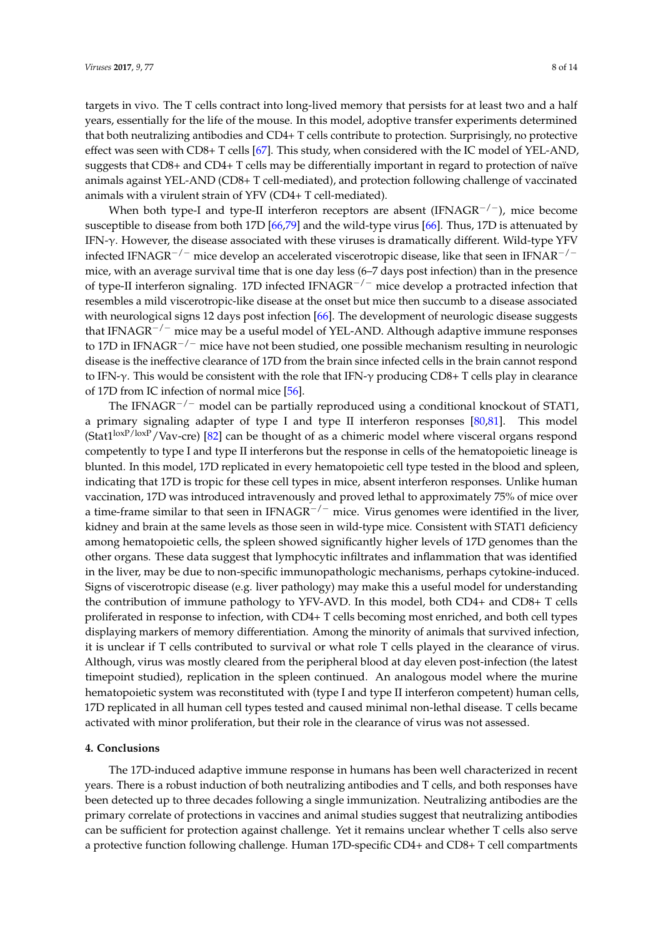targets in vivo. The T cells contract into long-lived memory that persists for at least two and a half years, essentially for the life of the mouse. In this model, adoptive transfer experiments determined that both neutralizing antibodies and CD4+ T cells contribute to protection. Surprisingly, no protective effect was seen with CD8+ T cells [\[67\]](#page-12-11). This study, when considered with the IC model of YEL-AND, suggests that CD8+ and CD4+ T cells may be differentially important in regard to protection of naïve animals against YEL-AND (CD8+ T cell-mediated), and protection following challenge of vaccinated animals with a virulent strain of YFV (CD4+ T cell-mediated).

When both type-I and type-II interferon receptors are absent (IFNAGR−/−), mice become susceptible to disease from both 17D [\[66](#page-12-10)[,79\]](#page-13-4) and the wild-type virus [\[66\]](#page-12-10). Thus, 17D is attenuated by IFN-γ. However, the disease associated with these viruses is dramatically different. Wild-type YFV infected IFNAGR−/<sup>−</sup> mice develop an accelerated viscerotropic disease, like that seen in IFNAR−/<sup>−</sup> mice, with an average survival time that is one day less (6–7 days post infection) than in the presence of type-II interferon signaling. 17D infected IFNAGR<sup>-/-</sup> mice develop a protracted infection that resembles a mild viscerotropic-like disease at the onset but mice then succumb to a disease associated with neurological signs 12 days post infection [\[66\]](#page-12-10). The development of neurologic disease suggests that IFNAGR−/<sup>−</sup> mice may be a useful model of YEL-AND. Although adaptive immune responses to 17D in IFNAGR<sup> $-/-$ </sup> mice have not been studied, one possible mechanism resulting in neurologic disease is the ineffective clearance of 17D from the brain since infected cells in the brain cannot respond to IFN-γ. This would be consistent with the role that IFN-γ producing CD8+ T cells play in clearance of 17D from IC infection of normal mice [\[56\]](#page-12-0).

The IFNAGR<sup> $-/-$ </sup> model can be partially reproduced using a conditional knockout of STAT1, a primary signaling adapter of type I and type II interferon responses [\[80](#page-13-5)[,81\]](#page-13-6). This model (Stat $1^{\text{boxP}/\text{boxP}}$ /Vav-cre) [\[82\]](#page-13-7) can be thought of as a chimeric model where visceral organs respond competently to type I and type II interferons but the response in cells of the hematopoietic lineage is blunted. In this model, 17D replicated in every hematopoietic cell type tested in the blood and spleen, indicating that 17D is tropic for these cell types in mice, absent interferon responses. Unlike human vaccination, 17D was introduced intravenously and proved lethal to approximately 75% of mice over a time-frame similar to that seen in IFNAGR<sup>-/-</sup> mice. Virus genomes were identified in the liver, kidney and brain at the same levels as those seen in wild-type mice. Consistent with STAT1 deficiency among hematopoietic cells, the spleen showed significantly higher levels of 17D genomes than the other organs. These data suggest that lymphocytic infiltrates and inflammation that was identified in the liver, may be due to non-specific immunopathologic mechanisms, perhaps cytokine-induced. Signs of viscerotropic disease (e.g. liver pathology) may make this a useful model for understanding the contribution of immune pathology to YFV-AVD. In this model, both CD4+ and CD8+ T cells proliferated in response to infection, with CD4+ T cells becoming most enriched, and both cell types displaying markers of memory differentiation. Among the minority of animals that survived infection, it is unclear if T cells contributed to survival or what role T cells played in the clearance of virus. Although, virus was mostly cleared from the peripheral blood at day eleven post-infection (the latest timepoint studied), replication in the spleen continued. An analogous model where the murine hematopoietic system was reconstituted with (type I and type II interferon competent) human cells, 17D replicated in all human cell types tested and caused minimal non-lethal disease. T cells became activated with minor proliferation, but their role in the clearance of virus was not assessed.

#### **4. Conclusions**

The 17D-induced adaptive immune response in humans has been well characterized in recent years. There is a robust induction of both neutralizing antibodies and T cells, and both responses have been detected up to three decades following a single immunization. Neutralizing antibodies are the primary correlate of protections in vaccines and animal studies suggest that neutralizing antibodies can be sufficient for protection against challenge. Yet it remains unclear whether T cells also serve a protective function following challenge. Human 17D-specific CD4+ and CD8+ T cell compartments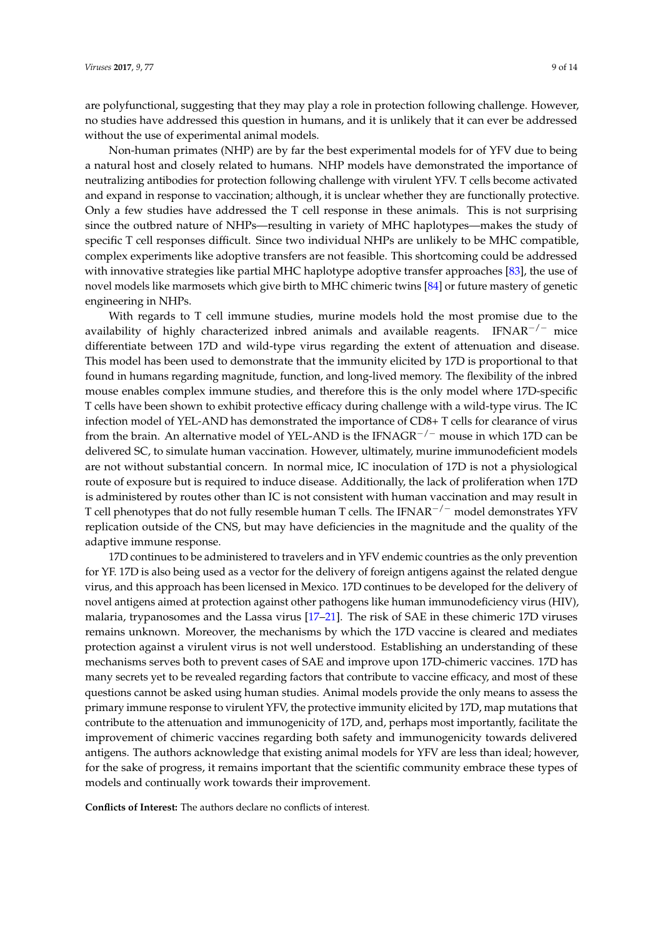are polyfunctional, suggesting that they may play a role in protection following challenge. However, no studies have addressed this question in humans, and it is unlikely that it can ever be addressed without the use of experimental animal models.

Non-human primates (NHP) are by far the best experimental models for of YFV due to being a natural host and closely related to humans. NHP models have demonstrated the importance of neutralizing antibodies for protection following challenge with virulent YFV. T cells become activated and expand in response to vaccination; although, it is unclear whether they are functionally protective. Only a few studies have addressed the T cell response in these animals. This is not surprising since the outbred nature of NHPs—resulting in variety of MHC haplotypes—makes the study of specific T cell responses difficult. Since two individual NHPs are unlikely to be MHC compatible, complex experiments like adoptive transfers are not feasible. This shortcoming could be addressed with innovative strategies like partial MHC haplotype adoptive transfer approaches [\[83\]](#page-13-8), the use of novel models like marmosets which give birth to MHC chimeric twins [\[84\]](#page-13-9) or future mastery of genetic engineering in NHPs.

With regards to T cell immune studies, murine models hold the most promise due to the availability of highly characterized inbred animals and available reagents. IFNAR<sup>-/-</sup> mice differentiate between 17D and wild-type virus regarding the extent of attenuation and disease. This model has been used to demonstrate that the immunity elicited by 17D is proportional to that found in humans regarding magnitude, function, and long-lived memory. The flexibility of the inbred mouse enables complex immune studies, and therefore this is the only model where 17D-specific T cells have been shown to exhibit protective efficacy during challenge with a wild-type virus. The IC infection model of YEL-AND has demonstrated the importance of CD8+ T cells for clearance of virus from the brain. An alternative model of YEL-AND is the IFNAGR<sup> $-/-$ </sup> mouse in which 17D can be delivered SC, to simulate human vaccination. However, ultimately, murine immunodeficient models are not without substantial concern. In normal mice, IC inoculation of 17D is not a physiological route of exposure but is required to induce disease. Additionally, the lack of proliferation when 17D is administered by routes other than IC is not consistent with human vaccination and may result in T cell phenotypes that do not fully resemble human T cells. The IFNAR<sup> $-/-$ </sup> model demonstrates YFV replication outside of the CNS, but may have deficiencies in the magnitude and the quality of the adaptive immune response.

17D continues to be administered to travelers and in YFV endemic countries as the only prevention for YF. 17D is also being used as a vector for the delivery of foreign antigens against the related dengue virus, and this approach has been licensed in Mexico. 17D continues to be developed for the delivery of novel antigens aimed at protection against other pathogens like human immunodeficiency virus (HIV), malaria, trypanosomes and the Lassa virus [\[17](#page-9-16)[–21\]](#page-9-17). The risk of SAE in these chimeric 17D viruses remains unknown. Moreover, the mechanisms by which the 17D vaccine is cleared and mediates protection against a virulent virus is not well understood. Establishing an understanding of these mechanisms serves both to prevent cases of SAE and improve upon 17D-chimeric vaccines. 17D has many secrets yet to be revealed regarding factors that contribute to vaccine efficacy, and most of these questions cannot be asked using human studies. Animal models provide the only means to assess the primary immune response to virulent YFV, the protective immunity elicited by 17D, map mutations that contribute to the attenuation and immunogenicity of 17D, and, perhaps most importantly, facilitate the improvement of chimeric vaccines regarding both safety and immunogenicity towards delivered antigens. The authors acknowledge that existing animal models for YFV are less than ideal; however, for the sake of progress, it remains important that the scientific community embrace these types of models and continually work towards their improvement.

**Conflicts of Interest:** The authors declare no conflicts of interest.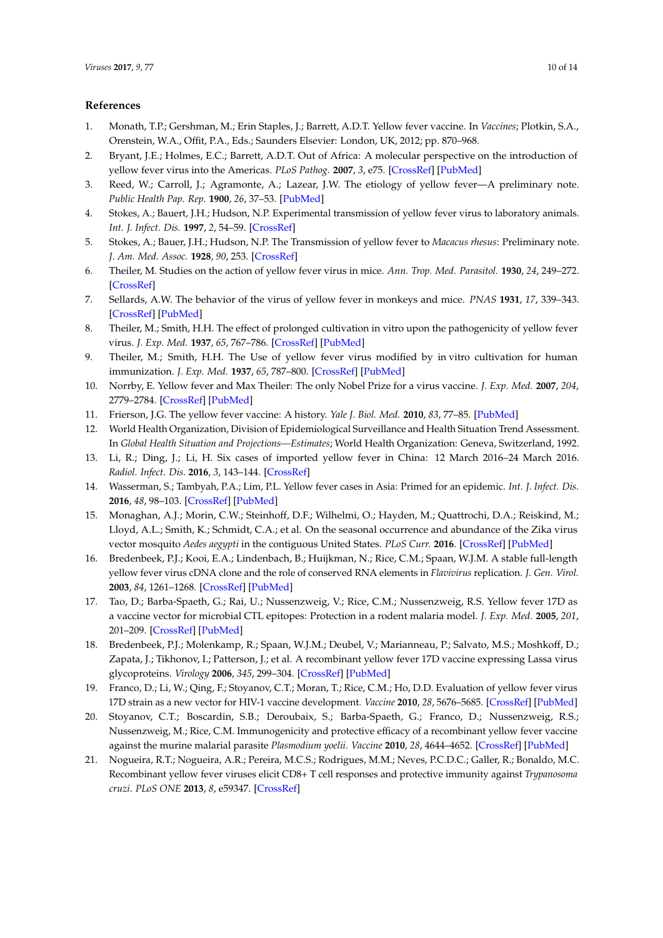# **References**

- <span id="page-9-0"></span>1. Monath, T.P.; Gershman, M.; Erin Staples, J.; Barrett, A.D.T. Yellow fever vaccine. In *Vaccines*; Plotkin, S.A., Orenstein, W.A., Offit, P.A., Eds.; Saunders Elsevier: London, UK, 2012; pp. 870–968.
- <span id="page-9-1"></span>2. Bryant, J.E.; Holmes, E.C.; Barrett, A.D.T. Out of Africa: A molecular perspective on the introduction of yellow fever virus into the Americas. *PLoS Pathog.* **2007**, *3*, e75. [\[CrossRef\]](http://dx.doi.org/10.1371/journal.ppat.0030075) [\[PubMed\]](http://www.ncbi.nlm.nih.gov/pubmed/17511518)
- <span id="page-9-2"></span>3. Reed, W.; Carroll, J.; Agramonte, A.; Lazear, J.W. The etiology of yellow fever—A preliminary note. *Public Health Pap. Rep.* **1900**, *26*, 37–53. [\[PubMed\]](http://www.ncbi.nlm.nih.gov/pubmed/19600960)
- <span id="page-9-3"></span>4. Stokes, A.; Bauert, J.H.; Hudson, N.P. Experimental transmission of yellow fever virus to laboratory animals. *Int. J. Infect. Dis.* **1997**, *2*, 54–59. [\[CrossRef\]](http://dx.doi.org/10.1016/S1201-9712(97)90015-1)
- <span id="page-9-4"></span>5. Stokes, A.; Bauer, J.H.; Hudson, N.P. The Transmission of yellow fever to *Macacus rhesus*: Preliminary note. *J. Am. Med. Assoc.* **1928**, *90*, 253. [\[CrossRef\]](http://dx.doi.org/10.1001/jama.1928.02690310005002)
- <span id="page-9-5"></span>6. Theiler, M. Studies on the action of yellow fever virus in mice. *Ann. Trop. Med. Parasitol.* **1930**, *24*, 249–272. [\[CrossRef\]](http://dx.doi.org/10.1080/00034983.1930.11684639)
- <span id="page-9-6"></span>7. Sellards, A.W. The behavior of the virus of yellow fever in monkeys and mice. *PNAS* **1931**, *17*, 339–343. [\[CrossRef\]](http://dx.doi.org/10.1073/pnas.17.6.339) [\[PubMed\]](http://www.ncbi.nlm.nih.gov/pubmed/16587631)
- <span id="page-9-7"></span>8. Theiler, M.; Smith, H.H. The effect of prolonged cultivation in vitro upon the pathogenicity of yellow fever virus. *J. Exp. Med.* **1937**, *65*, 767–786. [\[CrossRef\]](http://dx.doi.org/10.1084/jem.65.6.767) [\[PubMed\]](http://www.ncbi.nlm.nih.gov/pubmed/19870633)
- <span id="page-9-8"></span>9. Theiler, M.; Smith, H.H. The Use of yellow fever virus modified by in vitro cultivation for human immunization. *J. Exp. Med.* **1937**, *65*, 787–800. [\[CrossRef\]](http://dx.doi.org/10.1084/jem.65.6.787) [\[PubMed\]](http://www.ncbi.nlm.nih.gov/pubmed/19870634)
- <span id="page-9-9"></span>10. Norrby, E. Yellow fever and Max Theiler: The only Nobel Prize for a virus vaccine. *J. Exp. Med.* **2007**, *204*, 2779–2784. [\[CrossRef\]](http://dx.doi.org/10.1084/jem.20072290) [\[PubMed\]](http://www.ncbi.nlm.nih.gov/pubmed/18039952)
- <span id="page-9-10"></span>11. Frierson, J.G. The yellow fever vaccine: A history. *Yale J. Biol. Med.* **2010**, *83*, 77–85. [\[PubMed\]](http://www.ncbi.nlm.nih.gov/pubmed/20589188)
- <span id="page-9-11"></span>12. World Health Organization, Division of Epidemiological Surveillance and Health Situation Trend Assessment. In *Global Health Situation and Projections—Estimates*; World Health Organization: Geneva, Switzerland, 1992.
- <span id="page-9-12"></span>13. Li, R.; Ding, J.; Li, H. Six cases of imported yellow fever in China: 12 March 2016–24 March 2016. *Radiol. Infect. Dis.* **2016**, *3*, 143–144. [\[CrossRef\]](http://dx.doi.org/10.1016/j.jrid.2016.07.007)
- <span id="page-9-13"></span>14. Wasserman, S.; Tambyah, P.A.; Lim, P.L. Yellow fever cases in Asia: Primed for an epidemic. *Int. J. Infect. Dis.* **2016**, *48*, 98–103. [\[CrossRef\]](http://dx.doi.org/10.1016/j.ijid.2016.04.025) [\[PubMed\]](http://www.ncbi.nlm.nih.gov/pubmed/27156836)
- <span id="page-9-14"></span>15. Monaghan, A.J.; Morin, C.W.; Steinhoff, D.F.; Wilhelmi, O.; Hayden, M.; Quattrochi, D.A.; Reiskind, M.; Lloyd, A.L.; Smith, K.; Schmidt, C.A.; et al. On the seasonal occurrence and abundance of the Zika virus vector mosquito *Aedes aegypti* in the contiguous United States. *PLoS Curr.* **2016**. [\[CrossRef\]](http://dx.doi.org/10.1371/currents.outbreaks.50dfc7f46798675fc63e7d7da563da76) [\[PubMed\]](http://www.ncbi.nlm.nih.gov/pubmed/27066299)
- <span id="page-9-15"></span>16. Bredenbeek, P.J.; Kooi, E.A.; Lindenbach, B.; Huijkman, N.; Rice, C.M.; Spaan, W.J.M. A stable full-length yellow fever virus cDNA clone and the role of conserved RNA elements in *Flavivirus* replication. *J. Gen. Virol.* **2003**, *84*, 1261–1268. [\[CrossRef\]](http://dx.doi.org/10.1099/vir.0.18860-0) [\[PubMed\]](http://www.ncbi.nlm.nih.gov/pubmed/12692292)
- <span id="page-9-16"></span>17. Tao, D.; Barba-Spaeth, G.; Rai, U.; Nussenzweig, V.; Rice, C.M.; Nussenzweig, R.S. Yellow fever 17D as a vaccine vector for microbial CTL epitopes: Protection in a rodent malaria model. *J. Exp. Med.* **2005**, *201*, 201–209. [\[CrossRef\]](http://dx.doi.org/10.1084/jem.20041526) [\[PubMed\]](http://www.ncbi.nlm.nih.gov/pubmed/15657290)
- 18. Bredenbeek, P.J.; Molenkamp, R.; Spaan, W.J.M.; Deubel, V.; Marianneau, P.; Salvato, M.S.; Moshkoff, D.; Zapata, J.; Tikhonov, I.; Patterson, J.; et al. A recombinant yellow fever 17D vaccine expressing Lassa virus glycoproteins. *Virology* **2006**, *345*, 299–304. [\[CrossRef\]](http://dx.doi.org/10.1016/j.virol.2005.12.001) [\[PubMed\]](http://www.ncbi.nlm.nih.gov/pubmed/16412488)
- 19. Franco, D.; Li, W.; Qing, F.; Stoyanov, C.T.; Moran, T.; Rice, C.M.; Ho, D.D. Evaluation of yellow fever virus 17D strain as a new vector for HIV-1 vaccine development. *Vaccine* **2010**, *28*, 5676–5685. [\[CrossRef\]](http://dx.doi.org/10.1016/j.vaccine.2010.06.052) [\[PubMed\]](http://www.ncbi.nlm.nih.gov/pubmed/20600494)
- 20. Stoyanov, C.T.; Boscardin, S.B.; Deroubaix, S.; Barba-Spaeth, G.; Franco, D.; Nussenzweig, R.S.; Nussenzweig, M.; Rice, C.M. Immunogenicity and protective efficacy of a recombinant yellow fever vaccine against the murine malarial parasite *Plasmodium yoelii*. *Vaccine* **2010**, *28*, 4644–4652. [\[CrossRef\]](http://dx.doi.org/10.1016/j.vaccine.2010.04.071) [\[PubMed\]](http://www.ncbi.nlm.nih.gov/pubmed/20451637)
- <span id="page-9-17"></span>21. Nogueira, R.T.; Nogueira, A.R.; Pereira, M.C.S.; Rodrigues, M.M.; Neves, P.C.D.C.; Galler, R.; Bonaldo, M.C. Recombinant yellow fever viruses elicit CD8+ T cell responses and protective immunity against *Trypanosoma cruzi*. *PLoS ONE* **2013**, *8*, e59347. [\[CrossRef\]](http://dx.doi.org/10.1371/annotation/39b41d98-b117-41cf-b5de-b8486a67b1cd)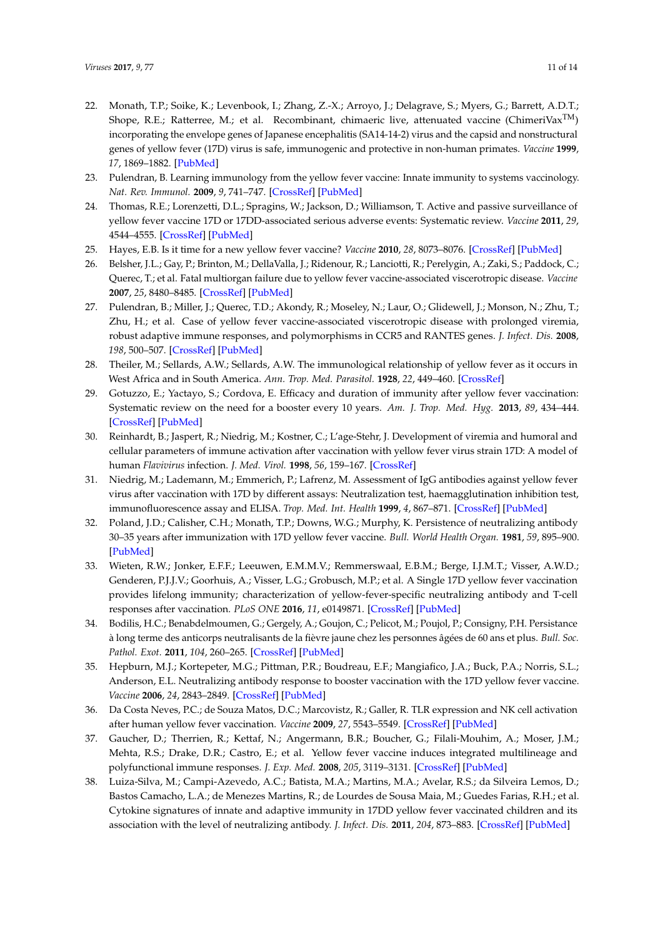- <span id="page-10-0"></span>22. Monath, T.P.; Soike, K.; Levenbook, I.; Zhang, Z.-X.; Arroyo, J.; Delagrave, S.; Myers, G.; Barrett, A.D.T.; Shope, R.E.; Ratterree, M.; et al. Recombinant, chimaeric live, attenuated vaccine (ChimeriVax<sup>TM</sup>) incorporating the envelope genes of Japanese encephalitis (SA14-14-2) virus and the capsid and nonstructural genes of yellow fever (17D) virus is safe, immunogenic and protective in non-human primates. *Vaccine* **1999**, *17*, 1869–1882. [\[PubMed\]](http://www.ncbi.nlm.nih.gov/pubmed/10217584)
- <span id="page-10-1"></span>23. Pulendran, B. Learning immunology from the yellow fever vaccine: Innate immunity to systems vaccinology. *Nat. Rev. Immunol.* **2009**, *9*, 741–747. [\[CrossRef\]](http://dx.doi.org/10.1038/nri2629) [\[PubMed\]](http://www.ncbi.nlm.nih.gov/pubmed/19763148)
- <span id="page-10-2"></span>24. Thomas, R.E.; Lorenzetti, D.L.; Spragins, W.; Jackson, D.; Williamson, T. Active and passive surveillance of yellow fever vaccine 17D or 17DD-associated serious adverse events: Systematic review. *Vaccine* **2011**, *29*, 4544–4555. [\[CrossRef\]](http://dx.doi.org/10.1016/j.vaccine.2011.04.055) [\[PubMed\]](http://www.ncbi.nlm.nih.gov/pubmed/21549787)
- <span id="page-10-3"></span>25. Hayes, E.B. Is it time for a new yellow fever vaccine? *Vaccine* **2010**, *28*, 8073–8076. [\[CrossRef\]](http://dx.doi.org/10.1016/j.vaccine.2010.10.015) [\[PubMed\]](http://www.ncbi.nlm.nih.gov/pubmed/20971115)
- <span id="page-10-4"></span>26. Belsher, J.L.; Gay, P.; Brinton, M.; DellaValla, J.; Ridenour, R.; Lanciotti, R.; Perelygin, A.; Zaki, S.; Paddock, C.; Querec, T.; et al. Fatal multiorgan failure due to yellow fever vaccine-associated viscerotropic disease. *Vaccine* **2007**, *25*, 8480–8485. [\[CrossRef\]](http://dx.doi.org/10.1016/j.vaccine.2007.08.061) [\[PubMed\]](http://www.ncbi.nlm.nih.gov/pubmed/18023511)
- <span id="page-10-5"></span>27. Pulendran, B.; Miller, J.; Querec, T.D.; Akondy, R.; Moseley, N.; Laur, O.; Glidewell, J.; Monson, N.; Zhu, T.; Zhu, H.; et al. Case of yellow fever vaccine-associated viscerotropic disease with prolonged viremia, robust adaptive immune responses, and polymorphisms in CCR5 and RANTES genes. *J. Infect. Dis.* **2008**, *198*, 500–507. [\[CrossRef\]](http://dx.doi.org/10.1086/590187) [\[PubMed\]](http://www.ncbi.nlm.nih.gov/pubmed/18598196)
- <span id="page-10-6"></span>28. Theiler, M.; Sellards, A.W.; Sellards, A.W. The immunological relationship of yellow fever as it occurs in West Africa and in South America. *Ann. Trop. Med. Parasitol.* **1928**, *22*, 449–460. [\[CrossRef\]](http://dx.doi.org/10.1080/00034983.1928.11684585)
- <span id="page-10-7"></span>29. Gotuzzo, E.; Yactayo, S.; Cordova, E. Efficacy and duration of immunity after yellow fever vaccination: Systematic review on the need for a booster every 10 years. *Am. J. Trop. Med. Hyg.* **2013**, *89*, 434–444. [\[CrossRef\]](http://dx.doi.org/10.4269/ajtmh.13-0264) [\[PubMed\]](http://www.ncbi.nlm.nih.gov/pubmed/24006295)
- <span id="page-10-8"></span>30. Reinhardt, B.; Jaspert, R.; Niedrig, M.; Kostner, C.; L'age-Stehr, J. Development of viremia and humoral and cellular parameters of immune activation after vaccination with yellow fever virus strain 17D: A model of human *Flavivirus* infection. *J. Med. Virol.* **1998**, *56*, 159–167. [\[CrossRef\]](http://dx.doi.org/10.1002/(SICI)1096-9071(199810)56:2<159::AID-JMV10>3.0.CO;2-B)
- <span id="page-10-9"></span>31. Niedrig, M.; Lademann, M.; Emmerich, P.; Lafrenz, M. Assessment of IgG antibodies against yellow fever virus after vaccination with 17D by different assays: Neutralization test, haemagglutination inhibition test, immunofluorescence assay and ELISA. *Trop. Med. Int. Health* **1999**, *4*, 867–871. [\[CrossRef\]](http://dx.doi.org/10.1046/j.1365-3156.1999.00496.x) [\[PubMed\]](http://www.ncbi.nlm.nih.gov/pubmed/10632996)
- 32. Poland, J.D.; Calisher, C.H.; Monath, T.P.; Downs, W.G.; Murphy, K. Persistence of neutralizing antibody 30–35 years after immunization with 17D yellow fever vaccine. *Bull. World Health Organ.* **1981**, *59*, 895–900. [\[PubMed\]](http://www.ncbi.nlm.nih.gov/pubmed/6978196)
- <span id="page-10-15"></span>33. Wieten, R.W.; Jonker, E.F.F.; Leeuwen, E.M.M.V.; Remmerswaal, E.B.M.; Berge, I.J.M.T.; Visser, A.W.D.; Genderen, P.J.J.V.; Goorhuis, A.; Visser, L.G.; Grobusch, M.P.; et al. A Single 17D yellow fever vaccination provides lifelong immunity; characterization of yellow-fever-specific neutralizing antibody and T-cell responses after vaccination. *PLoS ONE* **2016**, *11*, e0149871. [\[CrossRef\]](http://dx.doi.org/10.1371/journal.pone.0149871) [\[PubMed\]](http://www.ncbi.nlm.nih.gov/pubmed/26977808)
- <span id="page-10-10"></span>34. Bodilis, H.C.; Benabdelmoumen, G.; Gergely, A.; Goujon, C.; Pelicot, M.; Poujol, P.; Consigny, P.H. Persistance à long terme des anticorps neutralisants de la fièvre jaune chez les personnes âgées de 60 ans et plus. *Bull. Soc. Pathol. Exot.* **2011**, *104*, 260–265. [\[CrossRef\]](http://dx.doi.org/10.1007/s13149-011-0135-7) [\[PubMed\]](http://www.ncbi.nlm.nih.gov/pubmed/21336654)
- <span id="page-10-11"></span>35. Hepburn, M.J.; Kortepeter, M.G.; Pittman, P.R.; Boudreau, E.F.; Mangiafico, J.A.; Buck, P.A.; Norris, S.L.; Anderson, E.L. Neutralizing antibody response to booster vaccination with the 17D yellow fever vaccine. *Vaccine* **2006**, *24*, 2843–2849. [\[CrossRef\]](http://dx.doi.org/10.1016/j.vaccine.2005.12.055) [\[PubMed\]](http://www.ncbi.nlm.nih.gov/pubmed/16494976)
- <span id="page-10-12"></span>36. Da Costa Neves, P.C.; de Souza Matos, D.C.; Marcovistz, R.; Galler, R. TLR expression and NK cell activation after human yellow fever vaccination. *Vaccine* **2009**, *27*, 5543–5549. [\[CrossRef\]](http://dx.doi.org/10.1016/j.vaccine.2009.07.028) [\[PubMed\]](http://www.ncbi.nlm.nih.gov/pubmed/19647065)
- <span id="page-10-13"></span>37. Gaucher, D.; Therrien, R.; Kettaf, N.; Angermann, B.R.; Boucher, G.; Filali-Mouhim, A.; Moser, J.M.; Mehta, R.S.; Drake, D.R.; Castro, E.; et al. Yellow fever vaccine induces integrated multilineage and polyfunctional immune responses. *J. Exp. Med.* **2008**, *205*, 3119–3131. [\[CrossRef\]](http://dx.doi.org/10.1084/jem.20082292) [\[PubMed\]](http://www.ncbi.nlm.nih.gov/pubmed/19047440)
- <span id="page-10-14"></span>38. Luiza-Silva, M.; Campi-Azevedo, A.C.; Batista, M.A.; Martins, M.A.; Avelar, R.S.; da Silveira Lemos, D.; Bastos Camacho, L.A.; de Menezes Martins, R.; de Lourdes de Sousa Maia, M.; Guedes Farias, R.H.; et al. Cytokine signatures of innate and adaptive immunity in 17DD yellow fever vaccinated children and its association with the level of neutralizing antibody. *J. Infect. Dis.* **2011**, *204*, 873–883. [\[CrossRef\]](http://dx.doi.org/10.1093/infdis/jir439) [\[PubMed\]](http://www.ncbi.nlm.nih.gov/pubmed/21849284)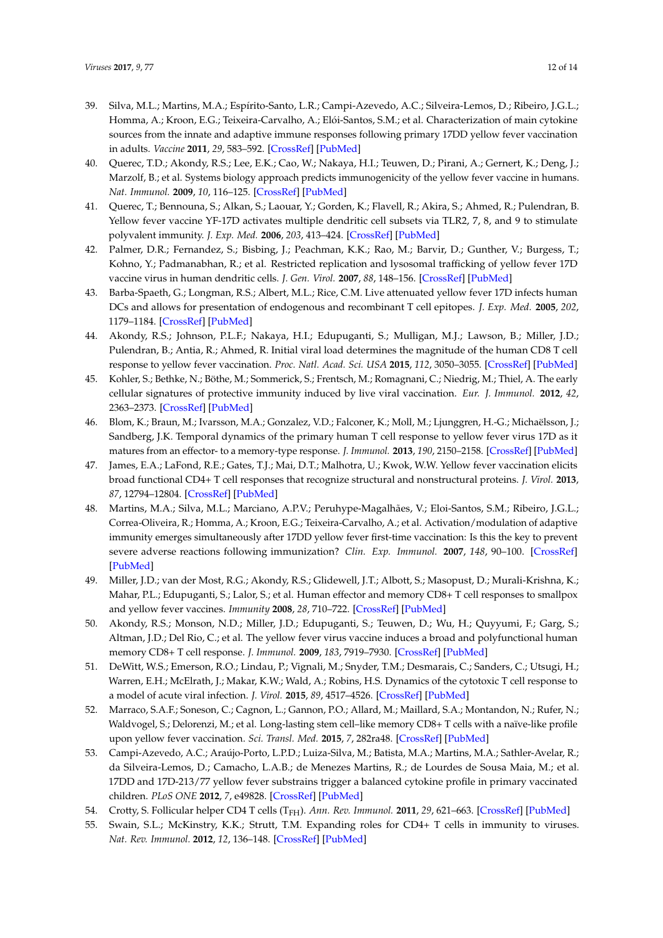- <span id="page-11-0"></span>39. Silva, M.L.; Martins, M.A.; Espírito-Santo, L.R.; Campi-Azevedo, A.C.; Silveira-Lemos, D.; Ribeiro, J.G.L.; Homma, A.; Kroon, E.G.; Teixeira-Carvalho, A.; Elói-Santos, S.M.; et al. Characterization of main cytokine sources from the innate and adaptive immune responses following primary 17DD yellow fever vaccination in adults. *Vaccine* **2011**, *29*, 583–592. [\[CrossRef\]](http://dx.doi.org/10.1016/j.vaccine.2010.08.046) [\[PubMed\]](http://www.ncbi.nlm.nih.gov/pubmed/20732465)
- <span id="page-11-1"></span>40. Querec, T.D.; Akondy, R.S.; Lee, E.K.; Cao, W.; Nakaya, H.I.; Teuwen, D.; Pirani, A.; Gernert, K.; Deng, J.; Marzolf, B.; et al. Systems biology approach predicts immunogenicity of the yellow fever vaccine in humans. *Nat. Immunol.* **2009**, *10*, 116–125. [\[CrossRef\]](http://dx.doi.org/10.1038/ni.1688) [\[PubMed\]](http://www.ncbi.nlm.nih.gov/pubmed/19029902)
- <span id="page-11-2"></span>41. Querec, T.; Bennouna, S.; Alkan, S.; Laouar, Y.; Gorden, K.; Flavell, R.; Akira, S.; Ahmed, R.; Pulendran, B. Yellow fever vaccine YF-17D activates multiple dendritic cell subsets via TLR2, 7, 8, and 9 to stimulate polyvalent immunity. *J. Exp. Med.* **2006**, *203*, 413–424. [\[CrossRef\]](http://dx.doi.org/10.1084/jem.20051720) [\[PubMed\]](http://www.ncbi.nlm.nih.gov/pubmed/16461338)
- <span id="page-11-3"></span>42. Palmer, D.R.; Fernandez, S.; Bisbing, J.; Peachman, K.K.; Rao, M.; Barvir, D.; Gunther, V.; Burgess, T.; Kohno, Y.; Padmanabhan, R.; et al. Restricted replication and lysosomal trafficking of yellow fever 17D vaccine virus in human dendritic cells. *J. Gen. Virol.* **2007**, *88*, 148–156. [\[CrossRef\]](http://dx.doi.org/10.1099/vir.0.82272-0) [\[PubMed\]](http://www.ncbi.nlm.nih.gov/pubmed/17170447)
- <span id="page-11-4"></span>43. Barba-Spaeth, G.; Longman, R.S.; Albert, M.L.; Rice, C.M. Live attenuated yellow fever 17D infects human DCs and allows for presentation of endogenous and recombinant T cell epitopes. *J. Exp. Med.* **2005**, *202*, 1179–1184. [\[CrossRef\]](http://dx.doi.org/10.1084/jem.20051352) [\[PubMed\]](http://www.ncbi.nlm.nih.gov/pubmed/16260489)
- <span id="page-11-5"></span>44. Akondy, R.S.; Johnson, P.L.F.; Nakaya, H.I.; Edupuganti, S.; Mulligan, M.J.; Lawson, B.; Miller, J.D.; Pulendran, B.; Antia, R.; Ahmed, R. Initial viral load determines the magnitude of the human CD8 T cell response to yellow fever vaccination. *Proc. Natl. Acad. Sci. USA* **2015**, *112*, 3050–3055. [\[CrossRef\]](http://dx.doi.org/10.1073/pnas.1500475112) [\[PubMed\]](http://www.ncbi.nlm.nih.gov/pubmed/25713354)
- <span id="page-11-6"></span>45. Kohler, S.; Bethke, N.; Böthe, M.; Sommerick, S.; Frentsch, M.; Romagnani, C.; Niedrig, M.; Thiel, A. The early cellular signatures of protective immunity induced by live viral vaccination. *Eur. J. Immunol.* **2012**, *42*, 2363–2373. [\[CrossRef\]](http://dx.doi.org/10.1002/eji.201142306) [\[PubMed\]](http://www.ncbi.nlm.nih.gov/pubmed/22733156)
- <span id="page-11-8"></span>46. Blom, K.; Braun, M.; Ivarsson, M.A.; Gonzalez, V.D.; Falconer, K.; Moll, M.; Ljunggren, H.-G.; Michaëlsson, J.; Sandberg, J.K. Temporal dynamics of the primary human T cell response to yellow fever virus 17D as it matures from an effector- to a memory-type response. *J. Immunol.* **2013**, *190*, 2150–2158. [\[CrossRef\]](http://dx.doi.org/10.4049/jimmunol.1202234) [\[PubMed\]](http://www.ncbi.nlm.nih.gov/pubmed/23338234)
- <span id="page-11-13"></span>47. James, E.A.; LaFond, R.E.; Gates, T.J.; Mai, D.T.; Malhotra, U.; Kwok, W.W. Yellow fever vaccination elicits broad functional CD4+ T cell responses that recognize structural and nonstructural proteins. *J. Virol.* **2013**, *87*, 12794–12804. [\[CrossRef\]](http://dx.doi.org/10.1128/JVI.01160-13) [\[PubMed\]](http://www.ncbi.nlm.nih.gov/pubmed/24049183)
- <span id="page-11-7"></span>48. Martins, M.A.; Silva, M.L.; Marciano, A.P.V.; Peruhype-Magalhães, V.; Eloi-Santos, S.M.; Ribeiro, J.G.L.; Correa-Oliveira, R.; Homma, A.; Kroon, E.G.; Teixeira-Carvalho, A.; et al. Activation/modulation of adaptive immunity emerges simultaneously after 17DD yellow fever first-time vaccination: Is this the key to prevent severe adverse reactions following immunization? *Clin. Exp. Immunol.* **2007**, *148*, 90–100. [\[CrossRef\]](http://dx.doi.org/10.1111/j.1365-2249.2006.03317.x) [\[PubMed\]](http://www.ncbi.nlm.nih.gov/pubmed/17309541)
- <span id="page-11-9"></span>49. Miller, J.D.; van der Most, R.G.; Akondy, R.S.; Glidewell, J.T.; Albott, S.; Masopust, D.; Murali-Krishna, K.; Mahar, P.L.; Edupuganti, S.; Lalor, S.; et al. Human effector and memory CD8+ T cell responses to smallpox and yellow fever vaccines. *Immunity* **2008**, *28*, 710–722. [\[CrossRef\]](http://dx.doi.org/10.1016/j.immuni.2008.02.020) [\[PubMed\]](http://www.ncbi.nlm.nih.gov/pubmed/18468462)
- <span id="page-11-10"></span>50. Akondy, R.S.; Monson, N.D.; Miller, J.D.; Edupuganti, S.; Teuwen, D.; Wu, H.; Quyyumi, F.; Garg, S.; Altman, J.D.; Del Rio, C.; et al. The yellow fever virus vaccine induces a broad and polyfunctional human memory CD8+ T cell response. *J. Immunol.* **2009**, *183*, 7919–7930. [\[CrossRef\]](http://dx.doi.org/10.4049/jimmunol.0803903) [\[PubMed\]](http://www.ncbi.nlm.nih.gov/pubmed/19933869)
- <span id="page-11-11"></span>51. DeWitt, W.S.; Emerson, R.O.; Lindau, P.; Vignali, M.; Snyder, T.M.; Desmarais, C.; Sanders, C.; Utsugi, H.; Warren, E.H.; McElrath, J.; Makar, K.W.; Wald, A.; Robins, H.S. Dynamics of the cytotoxic T cell response to a model of acute viral infection. *J. Virol.* **2015**, *89*, 4517–4526. [\[CrossRef\]](http://dx.doi.org/10.1128/JVI.03474-14) [\[PubMed\]](http://www.ncbi.nlm.nih.gov/pubmed/25653453)
- <span id="page-11-12"></span>52. Marraco, S.A.F.; Soneson, C.; Cagnon, L.; Gannon, P.O.; Allard, M.; Maillard, S.A.; Montandon, N.; Rufer, N.; Waldvogel, S.; Delorenzi, M.; et al. Long-lasting stem cell–like memory CD8+ T cells with a naïve-like profile upon yellow fever vaccination. *Sci. Transl. Med.* **2015**, *7*, 282ra48. [\[CrossRef\]](http://dx.doi.org/10.1126/scitranslmed.aaa3700) [\[PubMed\]](http://www.ncbi.nlm.nih.gov/pubmed/25855494)
- <span id="page-11-14"></span>53. Campi-Azevedo, A.C.; Araújo-Porto, L.P.D.; Luiza-Silva, M.; Batista, M.A.; Martins, M.A.; Sathler-Avelar, R.; da Silveira-Lemos, D.; Camacho, L.A.B.; de Menezes Martins, R.; de Lourdes de Sousa Maia, M.; et al. 17DD and 17D-213/77 yellow fever substrains trigger a balanced cytokine profile in primary vaccinated children. *PLoS ONE* **2012**, *7*, e49828. [\[CrossRef\]](http://dx.doi.org/10.1371/journal.pone.0049828) [\[PubMed\]](http://www.ncbi.nlm.nih.gov/pubmed/23251351)
- <span id="page-11-15"></span>54. Crotty, S. Follicular helper CD4 T cells (T<sub>FH</sub>). Ann. Rev. Immunol. 2011, 29, 621-663. [\[CrossRef\]](http://dx.doi.org/10.1146/annurev-immunol-031210-101400) [\[PubMed\]](http://www.ncbi.nlm.nih.gov/pubmed/21314428)
- <span id="page-11-16"></span>55. Swain, S.L.; McKinstry, K.K.; Strutt, T.M. Expanding roles for CD4+ T cells in immunity to viruses. *Nat. Rev. Immunol.* **2012**, *12*, 136–148. [\[CrossRef\]](http://dx.doi.org/10.1038/nri3152) [\[PubMed\]](http://www.ncbi.nlm.nih.gov/pubmed/22266691)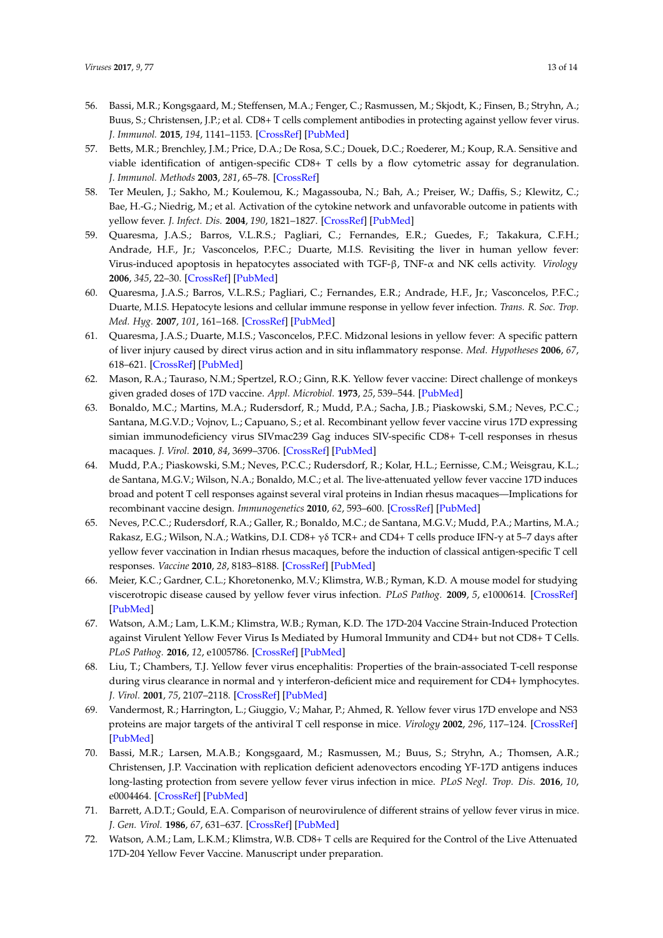- <span id="page-12-0"></span>56. Bassi, M.R.; Kongsgaard, M.; Steffensen, M.A.; Fenger, C.; Rasmussen, M.; Skjodt, K.; Finsen, B.; Stryhn, A.; Buus, S.; Christensen, J.P.; et al. CD8+ T cells complement antibodies in protecting against yellow fever virus. *J. Immunol.* **2015**, *194*, 1141–1153. [\[CrossRef\]](http://dx.doi.org/10.4049/jimmunol.1402605) [\[PubMed\]](http://www.ncbi.nlm.nih.gov/pubmed/25539816)
- <span id="page-12-1"></span>57. Betts, M.R.; Brenchley, J.M.; Price, D.A.; De Rosa, S.C.; Douek, D.C.; Roederer, M.; Koup, R.A. Sensitive and viable identification of antigen-specific CD8+ T cells by a flow cytometric assay for degranulation. *J. Immunol. Methods* **2003**, *281*, 65–78. [\[CrossRef\]](http://dx.doi.org/10.1016/S0022-1759(03)00265-5)
- <span id="page-12-2"></span>58. Ter Meulen, J.; Sakho, M.; Koulemou, K.; Magassouba, N.; Bah, A.; Preiser, W.; Daffis, S.; Klewitz, C.; Bae, H.-G.; Niedrig, M.; et al. Activation of the cytokine network and unfavorable outcome in patients with yellow fever. *J. Infect. Dis.* **2004**, *190*, 1821–1827. [\[CrossRef\]](http://dx.doi.org/10.1086/425016) [\[PubMed\]](http://www.ncbi.nlm.nih.gov/pubmed/15499539)
- <span id="page-12-3"></span>59. Quaresma, J.A.S.; Barros, V.L.R.S.; Pagliari, C.; Fernandes, E.R.; Guedes, F.; Takakura, C.F.H.; Andrade, H.F., Jr.; Vasconcelos, P.F.C.; Duarte, M.I.S. Revisiting the liver in human yellow fever: Virus-induced apoptosis in hepatocytes associated with TGF-β, TNF-α and NK cells activity. *Virology* **2006**, *345*, 22–30. [\[CrossRef\]](http://dx.doi.org/10.1016/j.virol.2005.09.058) [\[PubMed\]](http://www.ncbi.nlm.nih.gov/pubmed/16278000)
- <span id="page-12-4"></span>60. Quaresma, J.A.S.; Barros, V.L.R.S.; Pagliari, C.; Fernandes, E.R.; Andrade, H.F., Jr.; Vasconcelos, P.F.C.; Duarte, M.I.S. Hepatocyte lesions and cellular immune response in yellow fever infection. *Trans. R. Soc. Trop. Med. Hyg.* **2007**, *101*, 161–168. [\[CrossRef\]](http://dx.doi.org/10.1016/j.trstmh.2006.02.019) [\[PubMed\]](http://www.ncbi.nlm.nih.gov/pubmed/16872652)
- <span id="page-12-5"></span>61. Quaresma, J.A.S.; Duarte, M.I.S.; Vasconcelos, P.F.C. Midzonal lesions in yellow fever: A specific pattern of liver injury caused by direct virus action and in situ inflammatory response. *Med. Hypotheses* **2006**, *67*, 618–621. [\[CrossRef\]](http://dx.doi.org/10.1016/j.mehy.2006.01.060) [\[PubMed\]](http://www.ncbi.nlm.nih.gov/pubmed/16650626)
- <span id="page-12-6"></span>62. Mason, R.A.; Tauraso, N.M.; Spertzel, R.O.; Ginn, R.K. Yellow fever vaccine: Direct challenge of monkeys given graded doses of 17D vaccine. *Appl. Microbiol.* **1973**, *25*, 539–544. [\[PubMed\]](http://www.ncbi.nlm.nih.gov/pubmed/4633476)
- <span id="page-12-7"></span>63. Bonaldo, M.C.; Martins, M.A.; Rudersdorf, R.; Mudd, P.A.; Sacha, J.B.; Piaskowski, S.M.; Neves, P.C.C.; Santana, M.G.V.D.; Vojnov, L.; Capuano, S.; et al. Recombinant yellow fever vaccine virus 17D expressing simian immunodeficiency virus SIVmac239 Gag induces SIV-specific CD8+ T-cell responses in rhesus macaques. *J. Virol.* **2010**, *84*, 3699–3706. [\[CrossRef\]](http://dx.doi.org/10.1128/JVI.02255-09) [\[PubMed\]](http://www.ncbi.nlm.nih.gov/pubmed/20089645)
- <span id="page-12-8"></span>64. Mudd, P.A.; Piaskowski, S.M.; Neves, P.C.C.; Rudersdorf, R.; Kolar, H.L.; Eernisse, C.M.; Weisgrau, K.L.; de Santana, M.G.V.; Wilson, N.A.; Bonaldo, M.C.; et al. The live-attenuated yellow fever vaccine 17D induces broad and potent T cell responses against several viral proteins in Indian rhesus macaques—Implications for recombinant vaccine design. *Immunogenetics* **2010**, *62*, 593–600. [\[CrossRef\]](http://dx.doi.org/10.1007/s00251-010-0461-0) [\[PubMed\]](http://www.ncbi.nlm.nih.gov/pubmed/20607226)
- <span id="page-12-9"></span>65. Neves, P.C.C.; Rudersdorf, R.A.; Galler, R.; Bonaldo, M.C.; de Santana, M.G.V.; Mudd, P.A.; Martins, M.A.; Rakasz, E.G.; Wilson, N.A.; Watkins, D.I. CD8+ γδ TCR+ and CD4+ T cells produce IFN-γ at 5–7 days after yellow fever vaccination in Indian rhesus macaques, before the induction of classical antigen-specific T cell responses. *Vaccine* **2010**, *28*, 8183–8188. [\[CrossRef\]](http://dx.doi.org/10.1016/j.vaccine.2010.09.090) [\[PubMed\]](http://www.ncbi.nlm.nih.gov/pubmed/20939995)
- <span id="page-12-10"></span>66. Meier, K.C.; Gardner, C.L.; Khoretonenko, M.V.; Klimstra, W.B.; Ryman, K.D. A mouse model for studying viscerotropic disease caused by yellow fever virus infection. *PLoS Pathog.* **2009**, *5*, e1000614. [\[CrossRef\]](http://dx.doi.org/10.1371/journal.ppat.1000614) [\[PubMed\]](http://www.ncbi.nlm.nih.gov/pubmed/19816561)
- <span id="page-12-11"></span>67. Watson, A.M.; Lam, L.K.M.; Klimstra, W.B.; Ryman, K.D. The 17D-204 Vaccine Strain-Induced Protection against Virulent Yellow Fever Virus Is Mediated by Humoral Immunity and CD4+ but not CD8+ T Cells. *PLoS Pathog.* **2016**, *12*, e1005786. [\[CrossRef\]](http://dx.doi.org/10.1371/journal.ppat.1005786) [\[PubMed\]](http://www.ncbi.nlm.nih.gov/pubmed/27463517)
- <span id="page-12-12"></span>68. Liu, T.; Chambers, T.J. Yellow fever virus encephalitis: Properties of the brain-associated T-cell response during virus clearance in normal and  $\gamma$  interferon-deficient mice and requirement for CD4+ lymphocytes. *J. Virol.* **2001**, *75*, 2107–2118. [\[CrossRef\]](http://dx.doi.org/10.1128/JVI.75.5.2107-2118.2001) [\[PubMed\]](http://www.ncbi.nlm.nih.gov/pubmed/11160715)
- <span id="page-12-13"></span>69. Vandermost, R.; Harrington, L.; Giuggio, V.; Mahar, P.; Ahmed, R. Yellow fever virus 17D envelope and NS3 proteins are major targets of the antiviral T cell response in mice. *Virology* **2002**, *296*, 117–124. [\[CrossRef\]](http://dx.doi.org/10.1006/viro.2002.1432) [\[PubMed\]](http://www.ncbi.nlm.nih.gov/pubmed/12036323)
- <span id="page-12-14"></span>70. Bassi, M.R.; Larsen, M.A.B.; Kongsgaard, M.; Rasmussen, M.; Buus, S.; Stryhn, A.; Thomsen, A.R.; Christensen, J.P. Vaccination with replication deficient adenovectors encoding YF-17D antigens induces long-lasting protection from severe yellow fever virus infection in mice. *PLoS Negl. Trop. Dis.* **2016**, *10*, e0004464. [\[CrossRef\]](http://dx.doi.org/10.1371/journal.pntd.0004464) [\[PubMed\]](http://www.ncbi.nlm.nih.gov/pubmed/26886513)
- <span id="page-12-15"></span>71. Barrett, A.D.T.; Gould, E.A. Comparison of neurovirulence of different strains of yellow fever virus in mice. *J. Gen. Virol.* **1986**, *67*, 631–637. [\[CrossRef\]](http://dx.doi.org/10.1099/0022-1317-67-4-631) [\[PubMed\]](http://www.ncbi.nlm.nih.gov/pubmed/3958694)
- <span id="page-12-16"></span>72. Watson, A.M.; Lam, L.K.M.; Klimstra, W.B. CD8+ T cells are Required for the Control of the Live Attenuated 17D-204 Yellow Fever Vaccine. Manuscript under preparation.